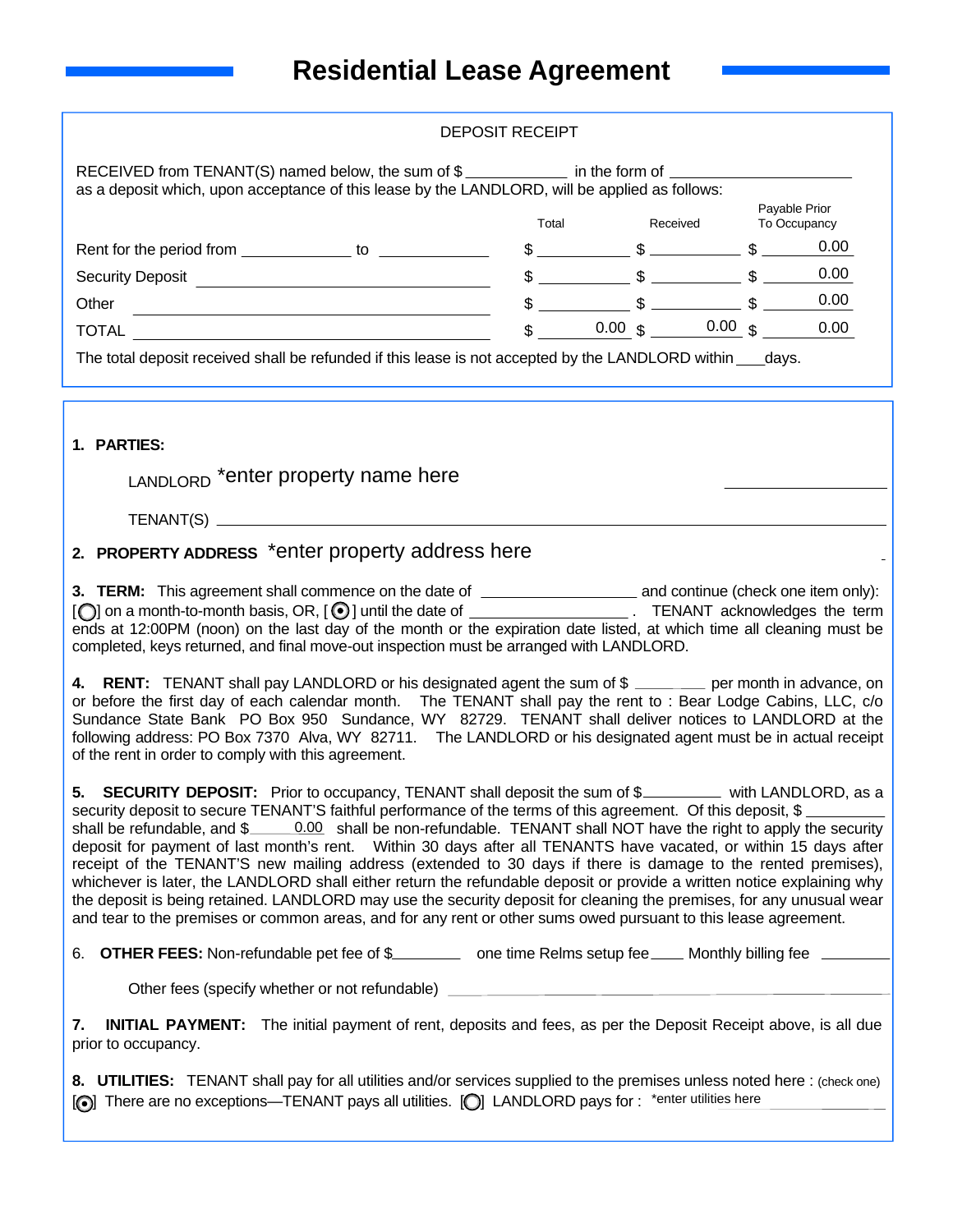| RECEIVED from TENANT(S) named below, the sum of \$<br>in the form of<br>as a deposit which, upon acceptance of this lease by the LANDLORD, will be applied as follows: |    |                  |                               |                               |      |  |  |
|------------------------------------------------------------------------------------------------------------------------------------------------------------------------|----|------------------|-------------------------------|-------------------------------|------|--|--|
|                                                                                                                                                                        |    | Total            | Received                      | Payable Prior<br>To Occupancy |      |  |  |
| Rent for the period from                                                                                                                                               | to |                  |                               |                               | 0.00 |  |  |
| <b>Security Deposit</b>                                                                                                                                                |    |                  | $\mathbb{S}$ and $\mathbb{S}$ |                               | 0.00 |  |  |
| Other                                                                                                                                                                  |    |                  |                               |                               | 0.00 |  |  |
| <b>TOTAL</b>                                                                                                                                                           |    | $0.00 \text{ s}$ | 0.00                          |                               | 0.00 |  |  |

The total deposit received shall be refunded if this lease is not accepted by the LANDLORD within \_\_\_days.

## **1. PARTIES:**

LANDLORD \*enter property name here

TENANT(S)

# **2. PROPERTY ADDRESS** \*enter property address here

**3. TERM:** This agreement shall commence on the date of **continue** and continue (check one item only):  $[\bigcirc]$  on a month-to-month basis, OR,  $[\bigcirc]$  until the date of  $\Box$  TENANT acknowledges the term ends at 12:00PM (noon) on the last day of the month or the expiration date listed, at which time all cleaning must be completed, keys returned, and final move-out inspection must be arranged with LANDLORD.

4. RENT: TENANT shall pay LANDLORD or his designated agent the sum of \$ \_\_\_\_\_\_\_ per month in advance, on or before the first day of each calendar month. The TENANT shall pay the rent to : Bear Lodge Cabins, LLC, c/o Sundance State Bank PO Box 950 Sundance, WY 82729. TENANT shall deliver notices to LANDLORD at the following address: PO Box 7370 Alva, WY 82711. The LANDLORD or his designated agent must be in actual receipt of the rent in order to comply with this agreement.

**5. SECURITY DEPOSIT:** Prior to occupancy, TENANT shall deposit the sum of \$ security deposit to secure TENANT'S faithful performance of the terms of this agreement. Of this deposit, \$ shall be refundable, and  $\frac{6}{2}$   $\frac{0.00}{5}$  shall be non-refundable. TENANT shall NOT have the right to apply the security deposit for payment of last month's rent. Within 30 days after all TENANTS have vacated, or within 15 days after receipt of the TENANT'S new mailing address (extended to 30 days if there is damage to the rented premises), whichever is later, the LANDLORD shall either return the refundable deposit or provide a written notice explaining why the deposit is being retained. LANDLORD may use the security deposit for cleaning the premises, for any unusual wear and tear to the premises or common areas, and for any rent or other sums owed pursuant to this lease agreement.

6. **OTHER FEES:** Non-refundable pet fee of \$\_\_\_\_\_\_\_\_\_ one time Relms setup fee \_\_\_\_ Monthly billing fee \_\_\_

Other fees (specify whether or not refundable)

**7. INITIAL PAYMENT:** The initial payment of rent, deposits and fees, as per the Deposit Receipt above, is all due prior to occupancy.

**8. UTILITIES:** TENANT shall pay for all utilities and/or services supplied to the premises unless noted here : (check one)  $[$  There are no exceptions—TENANT pays all utilities.  $[$  C LANDLORD pays for : \*enter utilities here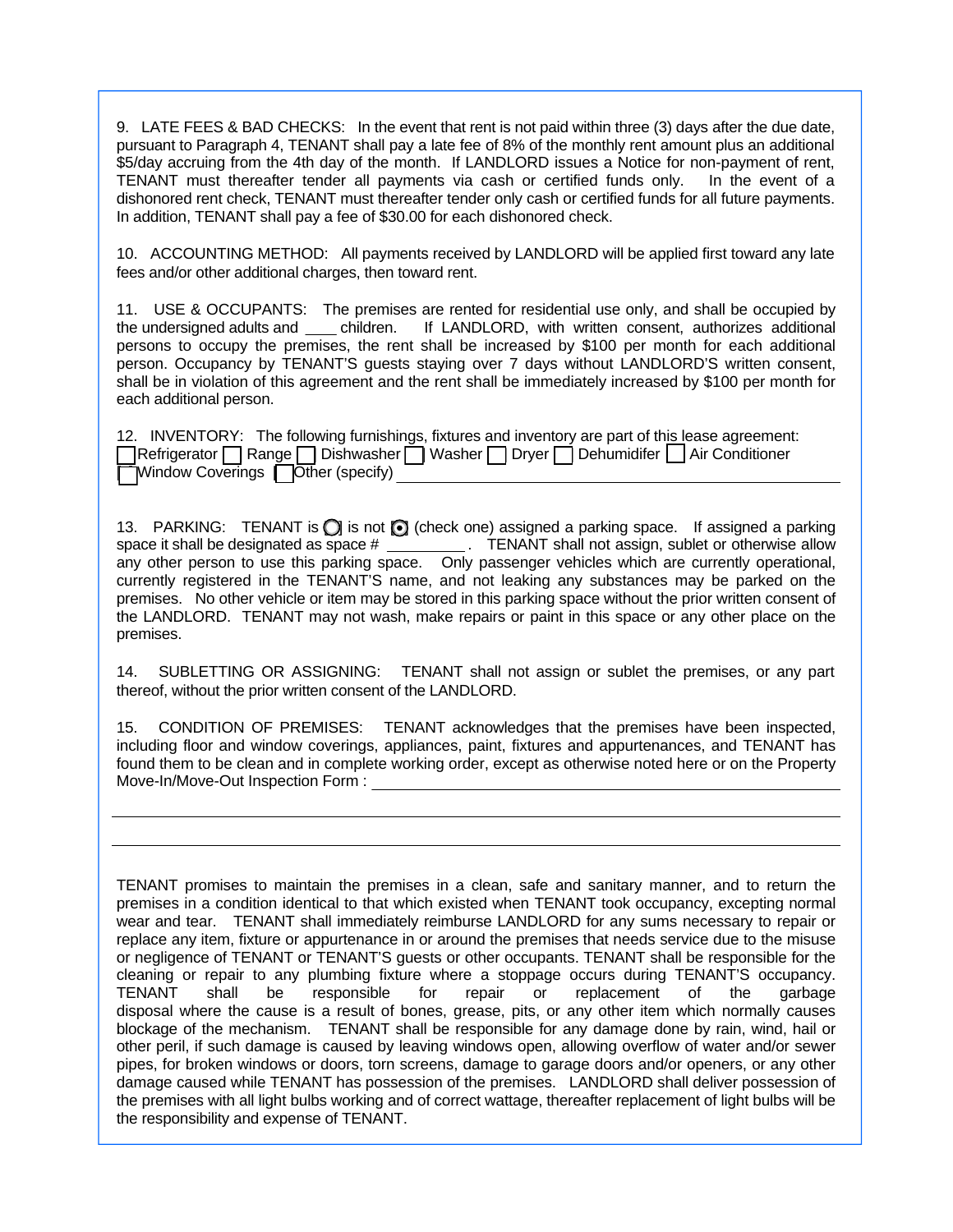9. LATE FEES & BAD CHECKS: In the event that rent is not paid within three (3) days after the due date, pursuant to Paragraph 4, TENANT shall pay a late fee of 8% of the monthly rent amount plus an additional \$5/day accruing from the 4th day of the month. If LANDLORD issues a Notice for non-payment of rent, TENANT must thereafter tender all payments via cash or certified funds only. In the event of a dishonored rent check, TENANT must thereafter tender only cash or certified funds for all future payments. In addition, TENANT shall pay a fee of \$30.00 for each dishonored check.

10. ACCOUNTING METHOD: All payments received by LANDLORD will be applied first toward any late fees and/or other additional charges, then toward rent.

11. USE & OCCUPANTS: The premises are rented for residential use only, and shall be occupied by the undersigned adults and children. If LANDLORD, with written consent, authorizes additional persons to occupy the premises, the rent shall be increased by \$100 per month for each additional person. Occupancy by TENANT'S guests staying over 7 days without LANDLORD'S written consent, shall be in violation of this agreement and the rent shall be immediately increased by \$100 per month for each additional person.

|  |                                           |  |  |  |  | 12. INVENTORY: The following furnishings, fixtures and inventory are part of this lease agreement: |
|--|-------------------------------------------|--|--|--|--|----------------------------------------------------------------------------------------------------|
|  |                                           |  |  |  |  | Refrigerator Range Dishwasher Washer Dryer Dehumidifer Air Conditioner                             |
|  | <b>Window Coverings   Other (specify)</b> |  |  |  |  |                                                                                                    |

13. PARKING: TENANT is  $\bigcirc$  is not  $\bigcirc$  (check one) assigned a parking space. If assigned a parking space it shall be designated as space # \_\_\_\_\_\_\_\_\_\_. TENANT shall not assign, sublet or otherwise allow any other person to use this parking space. Only passenger vehicles which are currently operational, currently registered in the TENANT'S name, and not leaking any substances may be parked on the premises. No other vehicle or item may be stored in this parking space without the prior written consent of the LANDLORD. TENANT may not wash, make repairs or paint in this space or any other place on the premises.

14. SUBLETTING OR ASSIGNING: TENANT shall not assign or sublet the premises, or any part thereof, without the prior written consent of the LANDLORD.

15. CONDITION OF PREMISES: TENANT acknowledges that the premises have been inspected, including floor and window coverings, appliances, paint, fixtures and appurtenances, and TENANT has found them to be clean and in complete working order, except as otherwise noted here or on the Property Move-In/Move-Out Inspection Form :

TENANT promises to maintain the premises in a clean, safe and sanitary manner, and to return the premises in a condition identical to that which existed when TENANT took occupancy, excepting normal wear and tear. TENANT shall immediately reimburse LANDLORD for any sums necessary to repair or replace any item, fixture or appurtenance in or around the premises that needs service due to the misuse or negligence of TENANT or TENANT'S guests or other occupants. TENANT shall be responsible for the cleaning or repair to any plumbing fixture where a stoppage occurs during TENANT'S occupancy. TENANT shall be responsible for repair or replacement of the garbage disposal where the cause is a result of bones, grease, pits, or any other item which normally causes blockage of the mechanism. TENANT shall be responsible for any damage done by rain, wind, hail or other peril, if such damage is caused by leaving windows open, allowing overflow of water and/or sewer pipes, for broken windows or doors, torn screens, damage to garage doors and/or openers, or any other damage caused while TENANT has possession of the premises. LANDLORD shall deliver possession of the premises with all light bulbs working and of correct wattage, thereafter replacement of light bulbs will be the responsibility and expense of TENANT.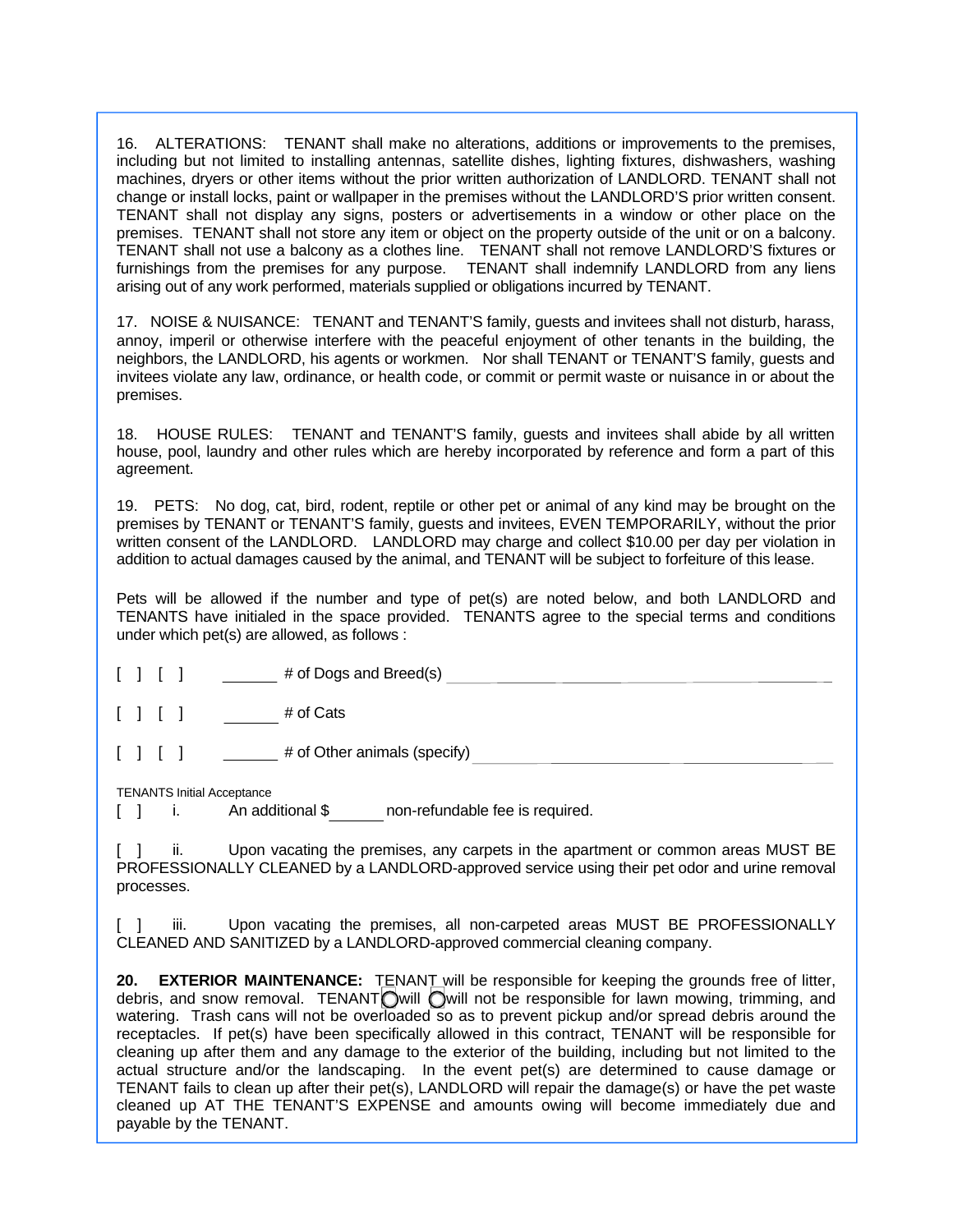16. ALTERATIONS: TENANT shall make no alterations, additions or improvements to the premises, including but not limited to installing antennas, satellite dishes, lighting fixtures, dishwashers, washing machines, dryers or other items without the prior written authorization of LANDLORD. TENANT shall not change or install locks, paint or wallpaper in the premises without the LANDLORD'S prior written consent. TENANT shall not display any signs, posters or advertisements in a window or other place on the premises. TENANT shall not store any item or object on the property outside of the unit or on a balcony. TENANT shall not use a balcony as a clothes line. TENANT shall not remove LANDLORD'S fixtures or furnishings from the premises for any purpose. TENANT shall indemnify LANDLORD from any liens arising out of any work performed, materials supplied or obligations incurred by TENANT.

17. NOISE & NUISANCE: TENANT and TENANT'S family, guests and invitees shall not disturb, harass, annoy, imperil or otherwise interfere with the peaceful enjoyment of other tenants in the building, the neighbors, the LANDLORD, his agents or workmen. Nor shall TENANT or TENANT'S family, guests and invitees violate any law, ordinance, or health code, or commit or permit waste or nuisance in or about the premises.

18. HOUSE RULES: TENANT and TENANT'S family, guests and invitees shall abide by all written house, pool, laundry and other rules which are hereby incorporated by reference and form a part of this agreement.

19. PETS: No dog, cat, bird, rodent, reptile or other pet or animal of any kind may be brought on the premises by TENANT or TENANT'S family, guests and invitees, EVEN TEMPORARILY, without the prior written consent of the LANDLORD. LANDLORD may charge and collect \$10.00 per day per violation in addition to actual damages caused by the animal, and TENANT will be subject to forfeiture of this lease.

Pets will be allowed if the number and type of pet(s) are noted below, and both LANDLORD and TENANTS have initialed in the space provided. TENANTS agree to the special terms and conditions under which pet(s) are allowed, as follows :

| [1]     |  | $#$ of Dogs and Breed(s) |  |
|---------|--|--------------------------|--|
| [ ] [ ] |  | # of Cats                |  |

[ ] [ ] # of Other animals (specify)

TENANTS Initial Acceptance

[ ] i. An additional \$ non-refundable fee is required.

[ ] ii. Upon vacating the premises, any carpets in the apartment or common areas MUST BE PROFESSIONALLY CLEANED by a LANDLORD-approved service using their pet odor and urine removal processes.

iii. Upon vacating the premises, all non-carpeted areas MUST BE PROFESSIONALLY CLEANED AND SANITIZED by a LANDLORD-approved commercial cleaning company.

**20. EXTERIOR MAINTENANCE:** TENANT will be responsible for keeping the grounds free of litter, debris, and snow removal. TENANT will will not be responsible for lawn mowing, trimming, and watering. Trash cans will not be overloaded so as to prevent pickup and/or spread debris around the receptacles. If pet(s) have been specifically allowed in this contract, TENANT will be responsible for cleaning up after them and any damage to the exterior of the building, including but not limited to the actual structure and/or the landscaping. In the event pet(s) are determined to cause damage or TENANT fails to clean up after their pet(s), LANDLORD will repair the damage(s) or have the pet waste cleaned up AT THE TENANT'S EXPENSE and amounts owing will become immediately due and payable by the TENANT.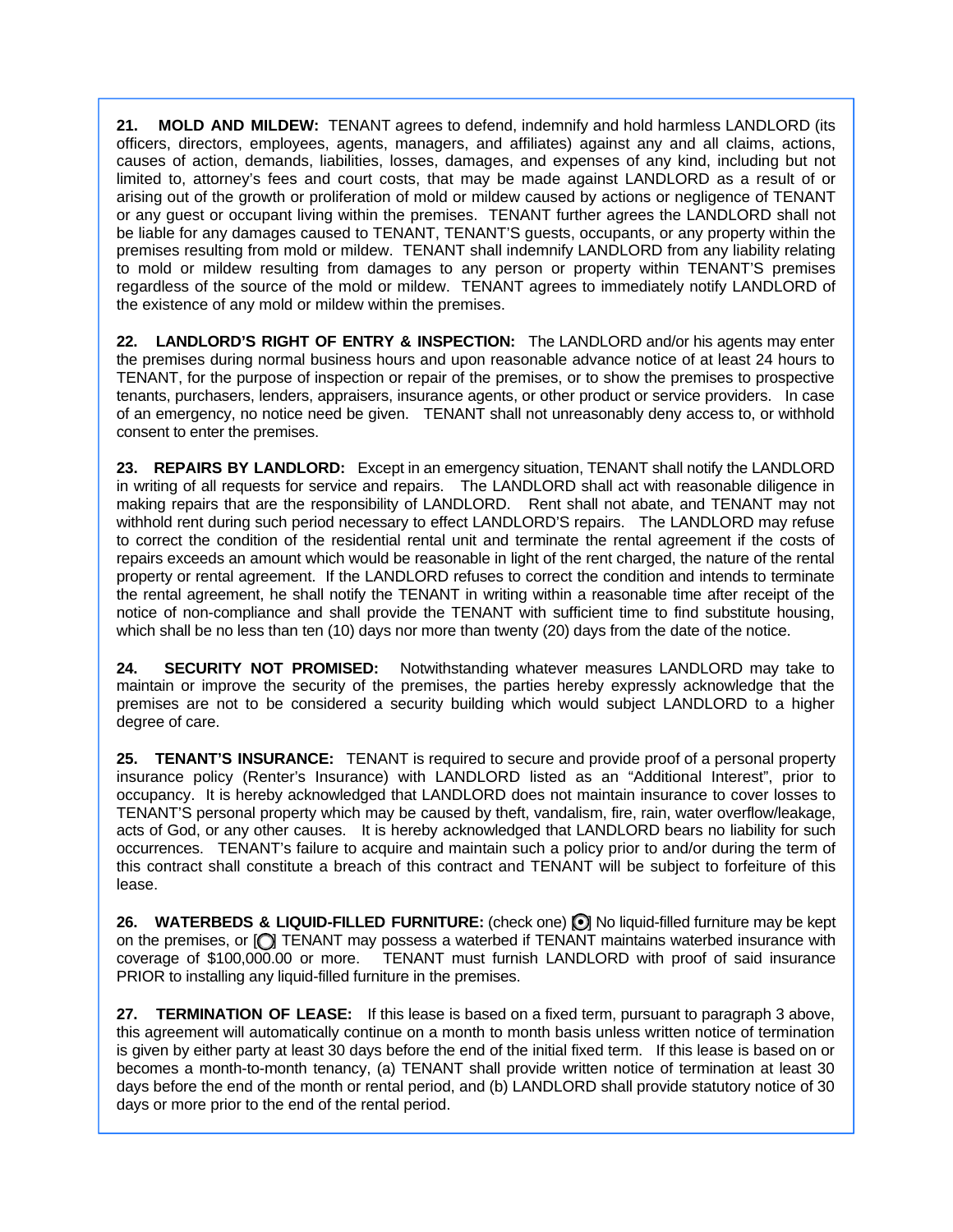**21. MOLD AND MILDEW:** TENANT agrees to defend, indemnify and hold harmless LANDLORD (its officers, directors, employees, agents, managers, and affiliates) against any and all claims, actions, causes of action, demands, liabilities, losses, damages, and expenses of any kind, including but not limited to, attorney's fees and court costs, that may be made against LANDLORD as a result of or arising out of the growth or proliferation of mold or mildew caused by actions or negligence of TENANT or any guest or occupant living within the premises. TENANT further agrees the LANDLORD shall not be liable for any damages caused to TENANT, TENANT'S guests, occupants, or any property within the premises resulting from mold or mildew. TENANT shall indemnify LANDLORD from any liability relating to mold or mildew resulting from damages to any person or property within TENANT'S premises regardless of the source of the mold or mildew. TENANT agrees to immediately notify LANDLORD of the existence of any mold or mildew within the premises.

**22. LANDLORD'S RIGHT OF ENTRY & INSPECTION:** The LANDLORD and/or his agents may enter the premises during normal business hours and upon reasonable advance notice of at least 24 hours to TENANT, for the purpose of inspection or repair of the premises, or to show the premises to prospective tenants, purchasers, lenders, appraisers, insurance agents, or other product or service providers. In case of an emergency, no notice need be given. TENANT shall not unreasonably deny access to, or withhold consent to enter the premises.

**23. REPAIRS BY LANDLORD:** Except in an emergency situation, TENANT shall notify the LANDLORD in writing of all requests for service and repairs. The LANDLORD shall act with reasonable diligence in making repairs that are the responsibility of LANDLORD. Rent shall not abate, and TENANT may not withhold rent during such period necessary to effect LANDLORD'S repairs. The LANDLORD may refuse to correct the condition of the residential rental unit and terminate the rental agreement if the costs of repairs exceeds an amount which would be reasonable in light of the rent charged, the nature of the rental property or rental agreement. If the LANDLORD refuses to correct the condition and intends to terminate the rental agreement, he shall notify the TENANT in writing within a reasonable time after receipt of the notice of non-compliance and shall provide the TENANT with sufficient time to find substitute housing, which shall be no less than ten (10) days nor more than twenty (20) days from the date of the notice.

**24. SECURITY NOT PROMISED:** Notwithstanding whatever measures LANDLORD may take to maintain or improve the security of the premises, the parties hereby expressly acknowledge that the premises are not to be considered a security building which would subject LANDLORD to a higher degree of care.

**25. TENANT'S INSURANCE:** TENANT is required to secure and provide proof of a personal property insurance policy (Renter's Insurance) with LANDLORD listed as an "Additional Interest", prior to occupancy. It is hereby acknowledged that LANDLORD does not maintain insurance to cover losses to TENANT'S personal property which may be caused by theft, vandalism, fire, rain, water overflow/leakage, acts of God, or any other causes. It is hereby acknowledged that LANDLORD bears no liability for such occurrences. TENANT's failure to acquire and maintain such a policy prior to and/or during the term of this contract shall constitute a breach of this contract and TENANT will be subject to forfeiture of this lease.

26. WATERBEDS & LIQUID-FILLED FURNITURE: (check one) **[ ]** No liquid-filled furniture may be kept on the premises, or  $\bigcirc$  TENANT may possess a waterbed if TENANT maintains waterbed insurance with coverage of \$100,000.00 or more. TENANT must furnish LANDLORD with proof of said insurance PRIOR to installing any liquid-filled furniture in the premises.

**27. TERMINATION OF LEASE:** If this lease is based on a fixed term, pursuant to paragraph 3 above, this agreement will automatically continue on a month to month basis unless written notice of termination is given by either party at least 30 days before the end of the initial fixed term. If this lease is based on or becomes a month-to-month tenancy, (a) TENANT shall provide written notice of termination at least 30 days before the end of the month or rental period, and (b) LANDLORD shall provide statutory notice of 30 days or more prior to the end of the rental period.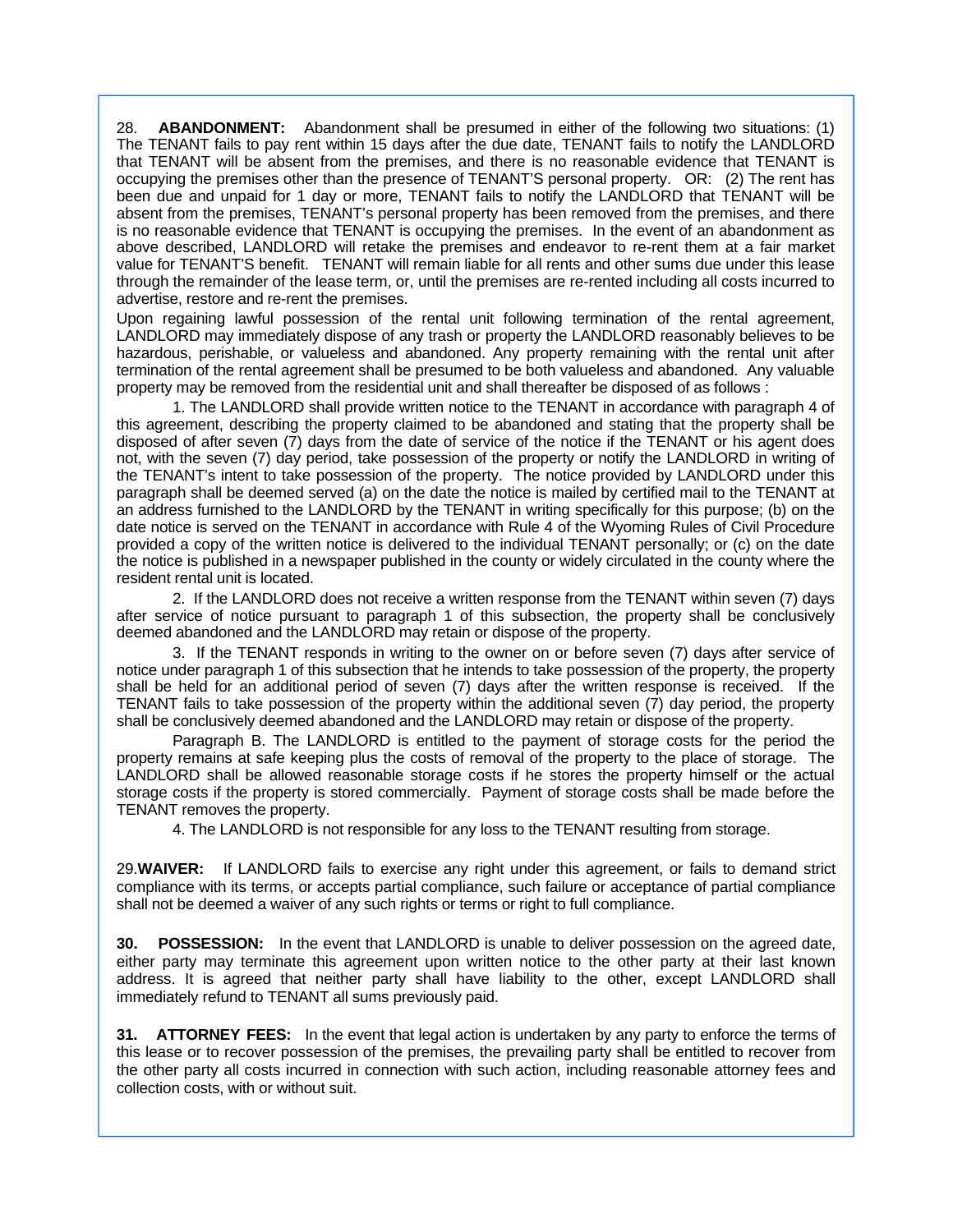28. **ABANDONMENT:** Abandonment shall be presumed in either of the following two situations: (1) The TENANT fails to pay rent within 15 days after the due date, TENANT fails to notify the LANDLORD that TENANT will be absent from the premises, and there is no reasonable evidence that TENANT is occupying the premises other than the presence of TENANT'S personal property. OR: (2) The rent has been due and unpaid for 1 day or more, TENANT fails to notify the LANDLORD that TENANT will be absent from the premises, TENANT's personal property has been removed from the premises, and there is no reasonable evidence that TENANT is occupying the premises. In the event of an abandonment as above described, LANDLORD will retake the premises and endeavor to re-rent them at a fair market value for TENANT'S benefit. TENANT will remain liable for all rents and other sums due under this lease through the remainder of the lease term, or, until the premises are re-rented including all costs incurred to advertise, restore and re-rent the premises.

Upon regaining lawful possession of the rental unit following termination of the rental agreement, LANDLORD may immediately dispose of any trash or property the LANDLORD reasonably believes to be hazardous, perishable, or valueless and abandoned. Any property remaining with the rental unit after termination of the rental agreement shall be presumed to be both valueless and abandoned. Any valuable property may be removed from the residential unit and shall thereafter be disposed of as follows :

 1. The LANDLORD shall provide written notice to the TENANT in accordance with paragraph 4 of this agreement, describing the property claimed to be abandoned and stating that the property shall be disposed of after seven (7) days from the date of service of the notice if the TENANT or his agent does not, with the seven (7) day period, take possession of the property or notify the LANDLORD in writing of the TENANT's intent to take possession of the property. The notice provided by LANDLORD under this paragraph shall be deemed served (a) on the date the notice is mailed by certified mail to the TENANT at an address furnished to the LANDLORD by the TENANT in writing specifically for this purpose; (b) on the date notice is served on the TENANT in accordance with Rule 4 of the Wyoming Rules of Civil Procedure provided a copy of the written notice is delivered to the individual TENANT personally; or (c) on the date the notice is published in a newspaper published in the county or widely circulated in the county where the resident rental unit is located.

 2. If the LANDLORD does not receive a written response from the TENANT within seven (7) days after service of notice pursuant to paragraph 1 of this subsection, the property shall be conclusively deemed abandoned and the LANDLORD may retain or dispose of the property.

 3. If the TENANT responds in writing to the owner on or before seven (7) days after service of notice under paragraph 1 of this subsection that he intends to take possession of the property, the property shall be held for an additional period of seven (7) days after the written response is received. If the TENANT fails to take possession of the property within the additional seven (7) day period, the property shall be conclusively deemed abandoned and the LANDLORD may retain or dispose of the property.

 Paragraph B. The LANDLORD is entitled to the payment of storage costs for the period the property remains at safe keeping plus the costs of removal of the property to the place of storage. The LANDLORD shall be allowed reasonable storage costs if he stores the property himself or the actual storage costs if the property is stored commercially. Payment of storage costs shall be made before the TENANT removes the property.

4. The LANDLORD is not responsible for any loss to the TENANT resulting from storage.

29.**WAIVER:** If LANDLORD fails to exercise any right under this agreement, or fails to demand strict compliance with its terms, or accepts partial compliance, such failure or acceptance of partial compliance shall not be deemed a waiver of any such rights or terms or right to full compliance.

**30. POSSESSION:** In the event that LANDLORD is unable to deliver possession on the agreed date, either party may terminate this agreement upon written notice to the other party at their last known address. It is agreed that neither party shall have liability to the other, except LANDLORD shall immediately refund to TENANT all sums previously paid.

**31. ATTORNEY FEES:** In the event that legal action is undertaken by any party to enforce the terms of this lease or to recover possession of the premises, the prevailing party shall be entitled to recover from the other party all costs incurred in connection with such action, including reasonable attorney fees and collection costs, with or without suit.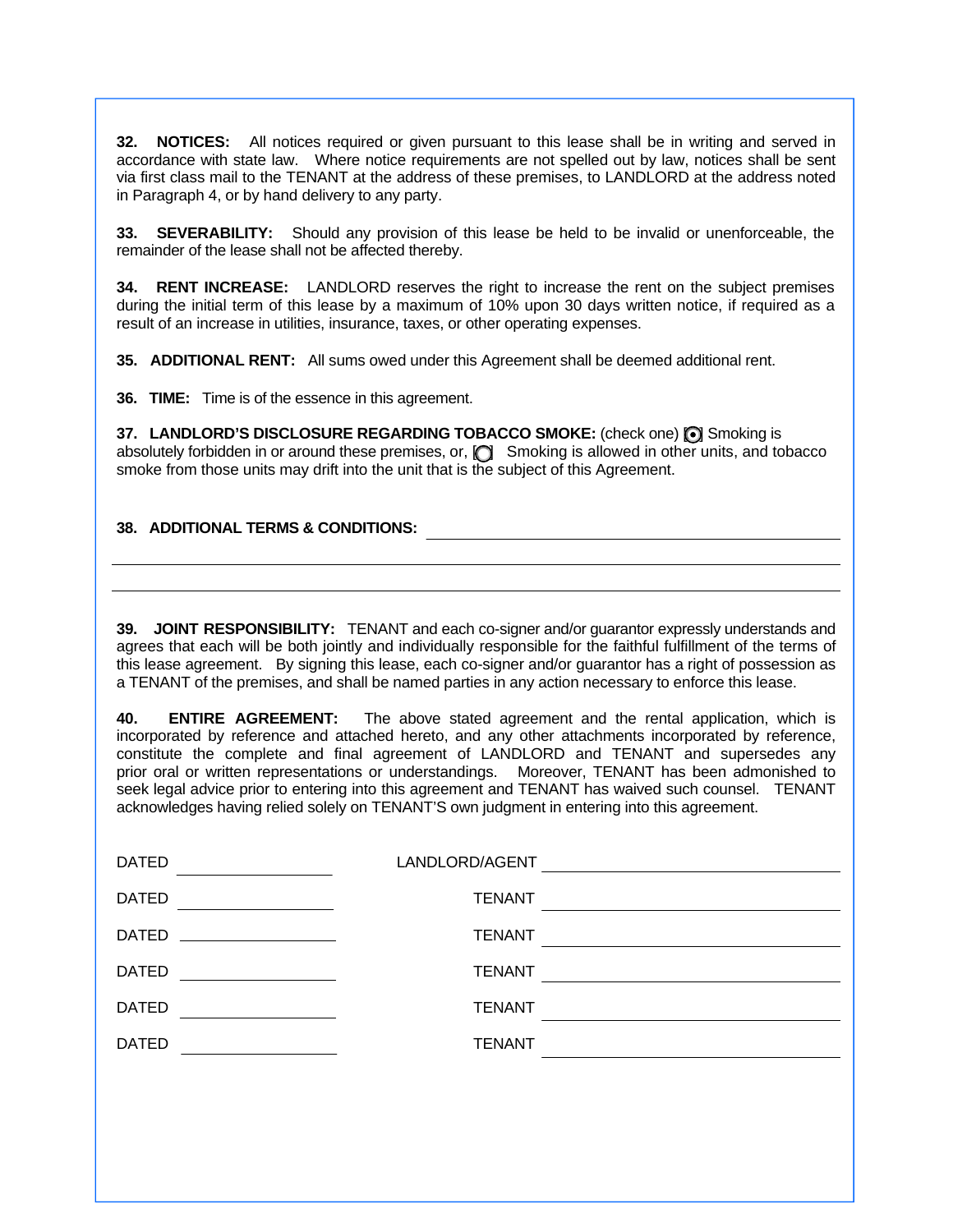**32. NOTICES:** All notices required or given pursuant to this lease shall be in writing and served in accordance with state law. Where notice requirements are not spelled out by law, notices shall be sent via first class mail to the TENANT at the address of these premises, to LANDLORD at the address noted in Paragraph 4, or by hand delivery to any party.

**33. SEVERABILITY:** Should any provision of this lease be held to be invalid or unenforceable, the remainder of the lease shall not be affected thereby.

**34. RENT INCREASE:** LANDLORD reserves the right to increase the rent on the subject premises during the initial term of this lease by a maximum of 10% upon 30 days written notice, if required as a result of an increase in utilities, insurance, taxes, or other operating expenses.

**35. ADDITIONAL RENT:** All sums owed under this Agreement shall be deemed additional rent.

**36. TIME:** Time is of the essence in this agreement.

**37. LANDLORD'S DISCLOSURE REGARDING TOBACCO SMOKE:** (check one) (O) Smoking is absolutely forbidden in or around these premises, or, [C] Smoking is allowed in other units, and tobacco smoke from those units may drift into the unit that is the subject of this Agreement.

### **38. ADDITIONAL TERMS & CONDITIONS:**

**39. JOINT RESPONSIBILITY:** TENANT and each co-signer and/or guarantor expressly understands and agrees that each will be both jointly and individually responsible for the faithful fulfillment of the terms of this lease agreement. By signing this lease, each co-signer and/or guarantor has a right of possession as a TENANT of the premises, and shall be named parties in any action necessary to enforce this lease.

**40. ENTIRE AGREEMENT:** The above stated agreement and the rental application, which is incorporated by reference and attached hereto, and any other attachments incorporated by reference, constitute the complete and final agreement of LANDLORD and TENANT and supersedes any prior oral or written representations or understandings. Moreover, TENANT has been admonished to seek legal advice prior to entering into this agreement and TENANT has waived such counsel. TENANT acknowledges having relied solely on TENANT'S own judgment in entering into this agreement.

| <b>DATED</b> | LANDLORD/AGENT |  |
|--------------|----------------|--|
| <b>DATED</b> | <b>TENANT</b>  |  |
| <b>DATED</b> | <b>TENANT</b>  |  |
| <b>DATED</b> | <b>TENANT</b>  |  |
| <b>DATED</b> | <b>TENANT</b>  |  |
| <b>DATED</b> | <b>TENANT</b>  |  |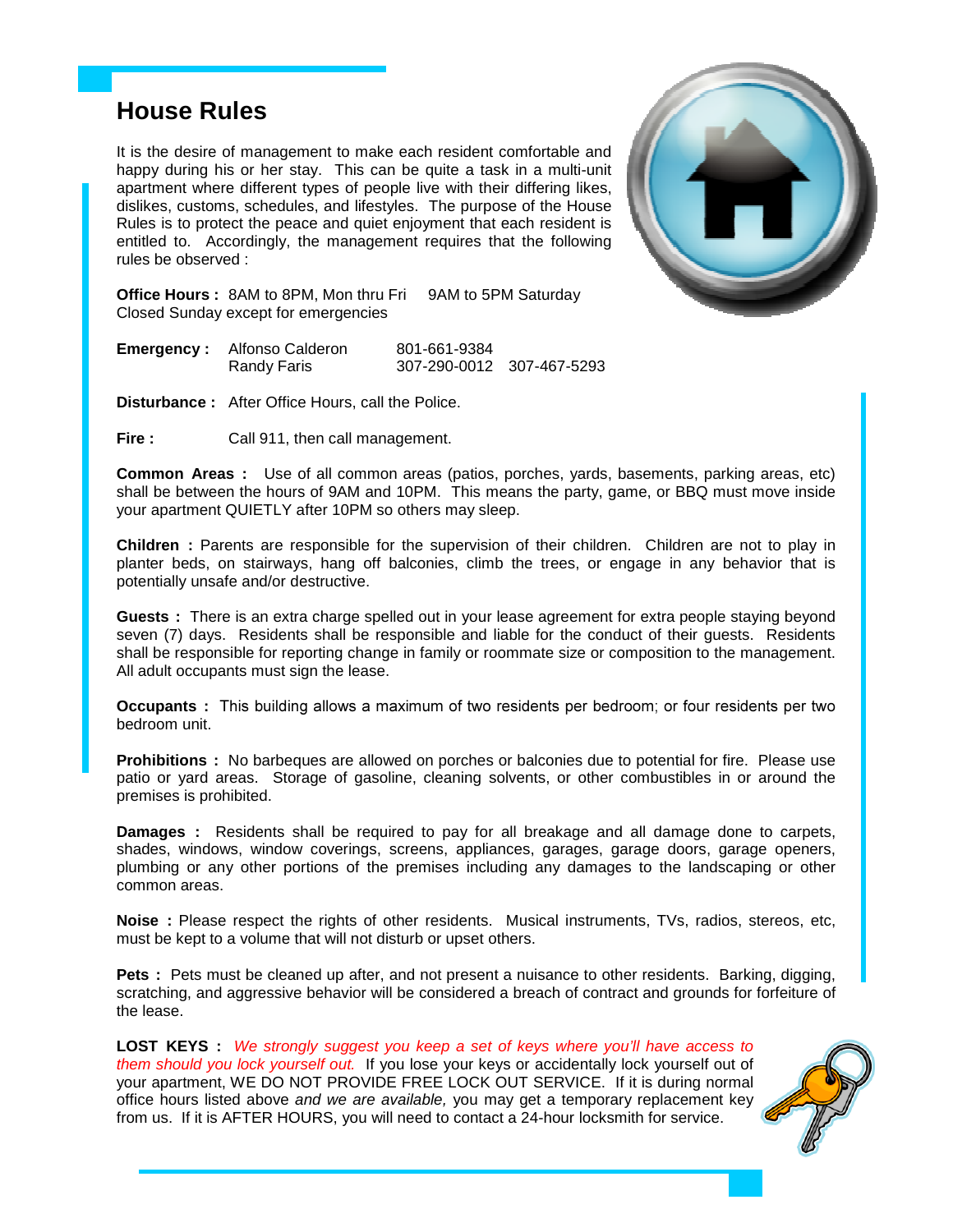# **House Rules**

It is the desire of management to make each resident comfortable and happy during his or her stay. This can be quite a task in a multi-unit apartment where different types of people live with their differing likes, dislikes, customs, schedules, and lifestyles. The purpose of the House Rules is to protect the peace and quiet enjoyment that each resident is entitled to. Accordingly, the management requires that the following rules be observed :



**Office Hours :** 8AM to 8PM, Mon thru Fri 9AM to 5PM Saturday Closed Sunday except for emergencies

| <b>Emergency:</b> Alfonso Calderon | 801-661-9384              |  |
|------------------------------------|---------------------------|--|
| Randy Faris                        | 307-290-0012 307-467-5293 |  |

**Disturbance :** After Office Hours, call the Police.

**Fire :** Call 911, then call management.

**Common Areas :** Use of all common areas (patios, porches, yards, basements, parking areas, etc) shall be between the hours of 9AM and 10PM. This means the party, game, or BBQ must move inside your apartment QUIETLY after 10PM so others may sleep.

**Children :** Parents are responsible for the supervision of their children. Children are not to play in planter beds, on stairways, hang off balconies, climb the trees, or engage in any behavior that is potentially unsafe and/or destructive.

**Guests :** There is an extra charge spelled out in your lease agreement for extra people staying beyond seven (7) days. Residents shall be responsible and liable for the conduct of their guests. Residents shall be responsible for reporting change in family or roommate size or composition to the management. All adult occupants must sign the lease.

**Occupants :** This building allows a maximum of two residents per bedroom; or four residents per two bedroom unit.

**Prohibitions :** No barbeques are allowed on porches or balconies due to potential for fire. Please use patio or yard areas. Storage of gasoline, cleaning solvents, or other combustibles in or around the premises is prohibited.

**Damages :** Residents shall be required to pay for all breakage and all damage done to carpets, shades, windows, window coverings, screens, appliances, garages, garage doors, garage openers, plumbing or any other portions of the premises including any damages to the landscaping or other common areas.

**Noise :** Please respect the rights of other residents. Musical instruments, TVs, radios, stereos, etc, must be kept to a volume that will not disturb or upset others.

Pets : Pets must be cleaned up after, and not present a nuisance to other residents. Barking, digging, scratching, and aggressive behavior will be considered a breach of contract and grounds for forfeiture of the lease.

**LOST KEYS :** We strongly suggest you keep a set of keys where you'll have access to them should you lock yourself out. If you lose your keys or accidentally lock yourself out of your apartment, WE DO NOT PROVIDE FREE LOCK OUT SERVICE. If it is during normal office hours listed above and we are available, you may get a temporary replacement key from us. If it is AFTER HOURS, you will need to contact a 24-hour locksmith for service.